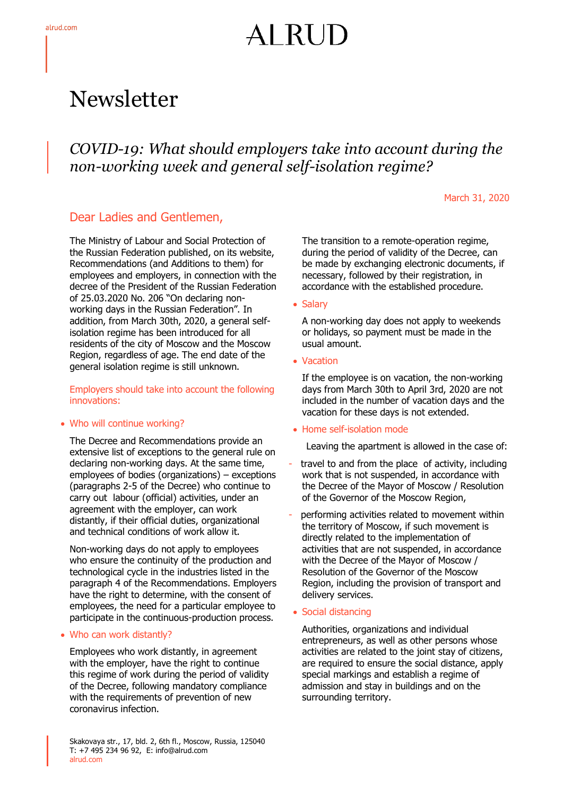# ALRU

## Newsletter

### *COVID-19: What should employers take into account during the non-working week and general self-isolation regime?*

March 31, 2020

#### Dear Ladies and Gentlemen,

The Ministry of Labour and Social Protection of the Russian Federation published, on its website, Recommendations (and Additions to them) for employees and employers, in connection with the decree of the President of the Russian Federation of 25.03.2020 No. 206 "On declaring nonworking days in the Russian Federation". In addition, from March 30th, 2020, a general selfisolation regime has been introduced for all residents of the city of Moscow and the Moscow Region, regardless of age. The end date of the general isolation regime is still unknown.

Employers should take into account the following innovations:

#### Who will continue working?

The Decree and Recommendations provide an extensive list of exceptions to the general rule on declaring non-working days. At the same time, employees of bodies (organizations) – exceptions (paragraphs 2-5 of the Decree) who continue to carry out labour (official) activities, under an agreement with the employer, can work distantly, if their official duties, organizational and technical conditions of work allow it.

Non-working days do not apply to employees who ensure the continuity of the production and technological cycle in the industries listed in the paragraph 4 of the Recommendations. Employers have the right to determine, with the consent of employees, the need for a particular employee to participate in the continuous-production process.

#### Who can work distantly?

Employees who work distantly, in agreement with the employer, have the right to continue this regime of work during the period of validity of the Decree, following mandatory compliance with the requirements of prevention of new coronavirus infection.

The transition to a remote-operation regime, during the period of validity of the Decree, can be made by exchanging electronic documents, if necessary, followed by their registration, in accordance with the established procedure.

#### • Salary

A non-working day does not apply to weekends or holidays, so payment must be made in the usual amount.

• Vacation

If the employee is on vacation, the non-working days from March 30th to April 3rd, 2020 are not included in the number of vacation days and the vacation for these days is not extended.

#### • Home self-isolation mode

Leaving the apartment is allowed in the case of:

- travel to and from the place of activity, including work that is not suspended, in accordance with the Decree of the Mayor of Moscow / Resolution of the Governor of the Moscow Region,
- performing activities related to movement within the territory of Moscow, if such movement is directly related to the implementation of activities that are not suspended, in accordance with the Decree of the Mayor of Moscow / Resolution of the Governor of the Moscow Region, including the provision of transport and delivery services.
- Social distancing

Authorities, organizations and individual entrepreneurs, as well as other persons whose activities are related to the joint stay of citizens, are required to ensure the social distance, apply special markings and establish a regime of admission and stay in buildings and on the surrounding territory.